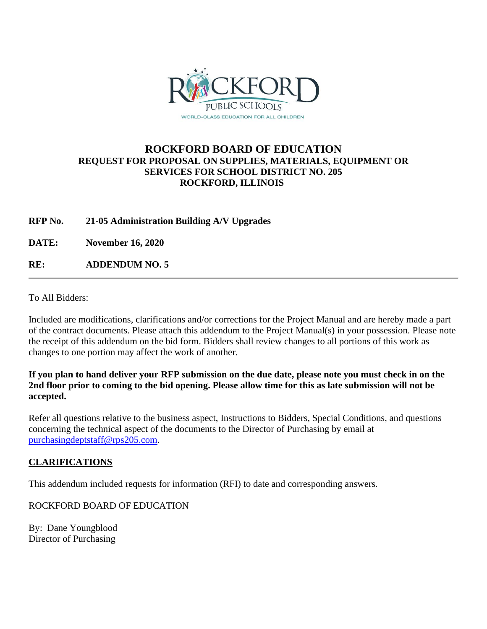

## **ROCKFORD BOARD OF EDUCATION REQUEST FOR PROPOSAL ON SUPPLIES, MATERIALS, EQUIPMENT OR SERVICES FOR SCHOOL DISTRICT NO. 205 ROCKFORD, ILLINOIS**

**RFP No. 21-05 Administration Building A/V Upgrades**

**DATE: November 16, 2020**

**RE: ADDENDUM NO. 5**

To All Bidders:

Included are modifications, clarifications and/or corrections for the Project Manual and are hereby made a part of the contract documents. Please attach this addendum to the Project Manual(s) in your possession. Please note the receipt of this addendum on the bid form. Bidders shall review changes to all portions of this work as changes to one portion may affect the work of another.

**If you plan to hand deliver your RFP submission on the due date, please note you must check in on the 2nd floor prior to coming to the bid opening. Please allow time for this as late submission will not be accepted.**

Refer all questions relative to the business aspect, Instructions to Bidders, Special Conditions, and questions concerning the technical aspect of the documents to the Director of Purchasing by email at [purchasingdeptstaff@rps205.com.](mailto:purchasingdeptstaff@rps205.com)

## **CLARIFICATIONS**

This addendum included requests for information (RFI) to date and corresponding answers.

ROCKFORD BOARD OF EDUCATION

By: Dane Youngblood Director of Purchasing